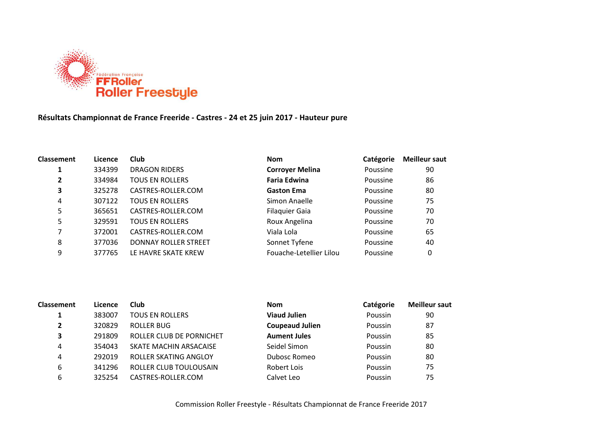

## **Résultats Championnat de France Freeride - Castres - 24 et 25 juin 2017 - Hauteur pure**

| <b>Classement</b> | Licence | <b>Club</b>                 | <b>Nom</b>              | Catégorie | <b>Meilleur saut</b> |
|-------------------|---------|-----------------------------|-------------------------|-----------|----------------------|
|                   | 334399  | <b>DRAGON RIDERS</b>        | <b>Corroyer Melina</b>  | Poussine  | 90                   |
| 2                 | 334984  | <b>TOUS EN ROLLERS</b>      | <b>Faria Edwina</b>     | Poussine  | 86                   |
| 3                 | 325278  | CASTRES-ROLLER.COM          | <b>Gaston Ema</b>       | Poussine  | 80                   |
| 4                 | 307122  | <b>TOUS EN ROLLERS</b>      | Simon Anaelle           | Poussine  | 75                   |
| 5                 | 365651  | CASTRES-ROLLER.COM          | <b>Filaquier Gaia</b>   | Poussine  | 70                   |
| 5                 | 329591  | <b>TOUS EN ROLLERS</b>      | Roux Angelina           | Poussine  | 70                   |
| 7                 | 372001  | CASTRES-ROLLER.COM          | Viala Lola              | Poussine  | 65                   |
| 8                 | 377036  | <b>DONNAY ROLLER STREET</b> | Sonnet Tyfene           | Poussine  | 40                   |
| 9                 | 377765  | LE HAVRE SKATE KREW         | Fouache-Letellier Lilou | Poussine  | 0                    |

| <b>Classement</b> | Licence | Club                     | <b>Nom</b>             | Catégorie | <b>Meilleur saut</b> |
|-------------------|---------|--------------------------|------------------------|-----------|----------------------|
|                   | 383007  | <b>TOUS EN ROLLERS</b>   | <b>Viaud Julien</b>    | Poussin   | 90                   |
| $\mathbf{2}$      | 320829  | <b>ROLLER BUG</b>        | <b>Coupeaud Julien</b> | Poussin   | 87                   |
| 3                 | 291809  | ROLLER CLUB DE PORNICHET | <b>Aument Jules</b>    | Poussin   | 85                   |
| 4                 | 354043  | SKATE MACHIN ARSACAISE   | Seidel Simon           | Poussin   | 80                   |
| 4                 | 292019  | ROLLER SKATING ANGLOY    | Dubosc Romeo           | Poussin   | 80                   |
| 6                 | 341296  | ROLLER CLUB TOULOUSAIN   | Robert Lois            | Poussin   | 75                   |
| 6                 | 325254  | CASTRES-ROLLER.COM       | Calvet Leo             | Poussin   | 75                   |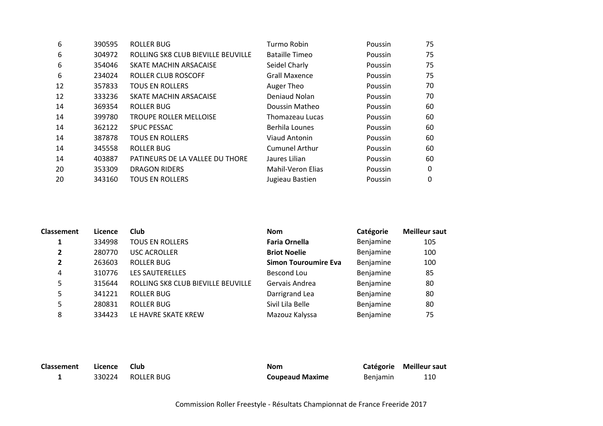| 6  | 390595 | ROLLER BUG                         | Turmo Robin           | Poussin        | 75 |
|----|--------|------------------------------------|-----------------------|----------------|----|
| 6  | 304972 | ROLLING SK8 CLUB BIEVILLE BEUVILLE | Bataille Timeo        | Poussin        | 75 |
| 6  | 354046 | SKATE MACHIN ARSACAISE             | Seidel Charly         | Poussin        | 75 |
| 6  | 234024 | ROLLER CLUB ROSCOFF                | <b>Grall Maxence</b>  | Poussin        | 75 |
| 12 | 357833 | <b>TOUS EN ROLLERS</b>             | Auger Theo            | Poussin        | 70 |
| 12 | 333236 | SKATE MACHIN ARSACAISE             | Deniaud Nolan         | Poussin        | 70 |
| 14 | 369354 | ROLLER BUG                         | Doussin Matheo        | <b>Poussin</b> | 60 |
| 14 | 399780 | <b>TROUPE ROLLER MELLOISE</b>      | Thomazeau Lucas       | Poussin        | 60 |
| 14 | 362122 | <b>SPUC PESSAC</b>                 | Berhila Lounes        | Poussin        | 60 |
| 14 | 387878 | <b>TOUS EN ROLLERS</b>             | Viaud Antonin         | Poussin        | 60 |
| 14 | 345558 | ROLLER BUG                         | <b>Cumunel Arthur</b> | Poussin        | 60 |
| 14 | 403887 | PATINEURS DE LA VALLEE DU THORE    | Jaures Lilian         | Poussin        | 60 |
| 20 | 353309 | <b>DRAGON RIDERS</b>               | Mahil-Veron Elias     | Poussin        | 0  |
| 20 | 343160 | <b>TOUS EN ROLLERS</b>             | Jugieau Bastien       | Poussin        | 0  |
|    |        |                                    |                       |                |    |

| <b>Classement</b> | Licence | <b>Club</b>                        | <b>Nom</b>                  | Catégorie | <b>Meilleur saut</b> |
|-------------------|---------|------------------------------------|-----------------------------|-----------|----------------------|
|                   | 334998  | <b>TOUS EN ROLLERS</b>             | <b>Faria Ornella</b>        | Benjamine | 105                  |
| 2                 | 280770  | <b>USC ACROLLER</b>                | <b>Briot Noelie</b>         | Benjamine | 100                  |
| 2                 | 263603  | ROLLER BUG                         | <b>Simon Touroumire Eva</b> | Benjamine | 100                  |
| 4                 | 310776  | <b>LES SAUTERELLES</b>             | Bescond Lou                 | Benjamine | 85                   |
| 5                 | 315644  | ROLLING SK8 CLUB BIEVILLE BEUVILLE | Gervais Andrea              | Benjamine | 80                   |
| 5                 | 341221  | <b>ROLLER BUG</b>                  | Darrigrand Lea              | Benjamine | 80                   |
| 5                 | 280831  | <b>ROLLER BUG</b>                  | Sivil Lila Belle            | Benjamine | 80                   |
| 8                 | 334423  | LE HAVRE SKATE KREW                | Mazouz Kalyssa              | Benjamine | 75                   |

| Classement | Licence | - Club            | Nom                    |                 | Catégorie Meilleur saut |
|------------|---------|-------------------|------------------------|-----------------|-------------------------|
|            |         | 330224 ROLLER BUG | <b>Coupeaud Maxime</b> | <b>Benjamin</b> | 110                     |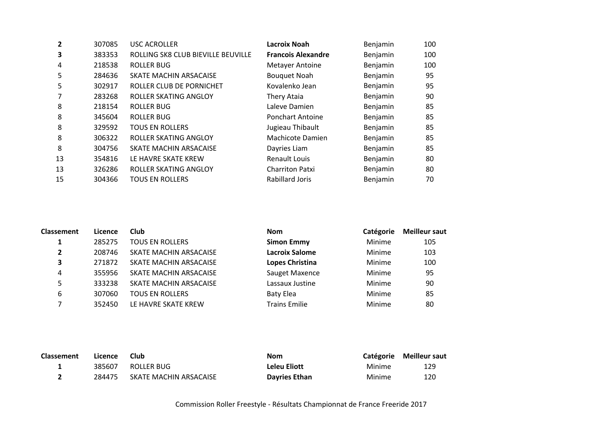| $\overline{2}$ | 307085 | <b>USC ACROLLER</b>                | Lacroix Noah              | Benjamin | 100 |
|----------------|--------|------------------------------------|---------------------------|----------|-----|
| 3              | 383353 | ROLLING SK8 CLUB BIEVILLE BEUVILLE | <b>Francois Alexandre</b> | Benjamin | 100 |
| 4              | 218538 | <b>ROLLER BUG</b>                  | <b>Metayer Antoine</b>    | Benjamin | 100 |
| 5              | 284636 | SKATE MACHIN ARSACAISE             | <b>Bouquet Noah</b>       | Benjamin | 95  |
| 5              | 302917 | ROLLER CLUB DE PORNICHET           | Kovalenko Jean            | Benjamin | 95  |
| 7              | 283268 | ROLLER SKATING ANGLOY              | Thery Ataia               | Benjamin | 90  |
| 8              | 218154 | ROLLER BUG                         | Laleve Damien             | Benjamin | 85  |
| 8              | 345604 | <b>ROLLER BUG</b>                  | <b>Ponchart Antoine</b>   | Benjamin | 85  |
| 8              | 329592 | <b>TOUS EN ROLLERS</b>             | Jugieau Thibault          | Benjamin | 85  |
| 8              | 306322 | ROLLER SKATING ANGLOY              | Machicote Damien          | Benjamin | 85  |
| 8              | 304756 | SKATE MACHIN ARSACAISE             | Dayries Liam              | Benjamin | 85  |
| 13             | 354816 | LE HAVRE SKATE KREW                | <b>Renault Louis</b>      | Benjamin | 80  |
| 13             | 326286 | ROLLER SKATING ANGLOY              | <b>Charriton Patxi</b>    | Benjamin | 80  |
| 15             | 304366 | <b>TOUS EN ROLLERS</b>             | <b>Rabillard Joris</b>    | Benjamin | 70  |
|                |        |                                    |                           |          |     |

| Classement     | Licence | Club                   | <b>Nom</b>             | Catégorie | <b>Meilleur saut</b> |
|----------------|---------|------------------------|------------------------|-----------|----------------------|
|                | 285275  | <b>TOUS EN ROLLERS</b> | <b>Simon Emmy</b>      | Minime    | 105                  |
| $\overline{2}$ | 208746  | SKATE MACHIN ARSACAISE | <b>Lacroix Salome</b>  | Minime    | 103                  |
| 3              | 271872  | SKATE MACHIN ARSACAISE | <b>Lopes Christina</b> | Minime    | 100                  |
| 4              | 355956  | SKATE MACHIN ARSACAISE | Sauget Maxence         | Minime    | 95                   |
|                | 333238  | SKATE MACHIN ARSACAISE | Lassaux Justine        | Minime    | 90                   |
| 6              | 307060  | <b>TOUS EN ROLLERS</b> | <b>Baty Elea</b>       | Minime    | 85                   |
|                | 352450  | LE HAVRE SKATE KREW    | <b>Trains Emilie</b>   | Minime    | 80                   |

| <b>Classement</b> | Licence | Club                   | <b>Nom</b>           |        | Catégorie Meilleur saut |
|-------------------|---------|------------------------|----------------------|--------|-------------------------|
|                   |         | 385607 ROLLER BUG      | Leleu Eliott         | Minime | 129                     |
|                   | 284475  | SKATE MACHIN ARSACAISE | <b>Davries Ethan</b> | Minime | 120                     |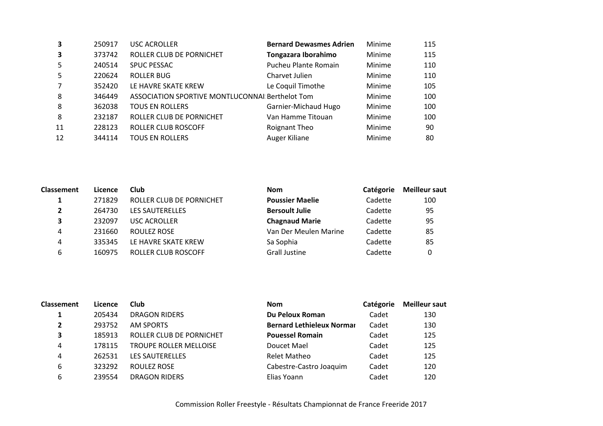| 250917 | <b>USC ACROLLER</b>      | <b>Bernard Dewasmes Adrien</b> | Minime                                          | 115 |
|--------|--------------------------|--------------------------------|-------------------------------------------------|-----|
| 373742 | ROLLER CLUB DE PORNICHET | Tongazara Iborahimo            | Minime                                          | 115 |
| 240514 | <b>SPUC PESSAC</b>       | Pucheu Plante Romain           | Minime                                          | 110 |
| 220624 | <b>ROLLER BUG</b>        | Charvet Julien                 | Minime                                          | 110 |
| 352420 | LE HAVRE SKATE KREW      | Le Coquil Timothe              | Minime                                          | 105 |
| 346449 |                          |                                | Minime                                          | 100 |
| 362038 | <b>TOUS EN ROLLERS</b>   | Garnier-Michaud Hugo           | Minime                                          | 100 |
| 232187 | ROLLER CLUB DE PORNICHET | Van Hamme Titouan              | Minime                                          | 100 |
| 228123 | ROLLER CLUB ROSCOFF      | Roignant Theo                  | Minime                                          | 90  |
| 344114 | <b>TOUS EN ROLLERS</b>   | Auger Kiliane                  | Minime                                          | 80  |
|        |                          |                                | ASSOCIATION SPORTIVE MONTLUCONNAI Berthelot Tom |     |

| <b>Classement</b> | Licence | Club                     | <b>Nom</b>             | Catégorie | <b>Meilleur saut</b> |
|-------------------|---------|--------------------------|------------------------|-----------|----------------------|
|                   | 271829  | ROLLER CLUB DE PORNICHET | <b>Poussier Maelie</b> | Cadette   | 100                  |
| $\overline{2}$    | 264730  | <b>LES SAUTERELLES</b>   | <b>Bersoult Julie</b>  | Cadette   | 95                   |
| 3                 | 232097  | <b>USC ACROLLER</b>      | <b>Chagnaud Marie</b>  | Cadette   | 95                   |
| 4                 | 231660  | ROULEZ ROSE              | Van Der Meulen Marine  | Cadette   | 85                   |
| 4                 | 335345  | LE HAVRE SKATE KREW      | Sa Sophia              | Cadette   | 85                   |
| 6                 | 160975  | ROLLER CLUB ROSCOFF      | <b>Grall Justine</b>   | Cadette   | 0                    |

| Classement     | Licence | Club                          | <b>Nom</b>                       | Catégorie | <b>Meilleur saut</b> |
|----------------|---------|-------------------------------|----------------------------------|-----------|----------------------|
|                | 205434  | <b>DRAGON RIDERS</b>          | Du Peloux Roman                  | Cadet     | 130                  |
| $\overline{2}$ | 293752  | <b>AM SPORTS</b>              | <b>Bernard Lethieleux Normar</b> | Cadet     | 130                  |
| 3              | 185913  | ROLLER CLUB DE PORNICHET      | <b>Pouessel Romain</b>           | Cadet     | 125                  |
| 4              | 178115  | <b>TROUPE ROLLER MELLOISE</b> | Doucet Mael                      | Cadet     | 125                  |
| 4              | 262531  | <b>LES SAUTERELLES</b>        | <b>Relet Matheo</b>              | Cadet     | 125                  |
| 6              | 323292  | ROULEZ ROSE                   | Cabestre-Castro Joaquim          | Cadet     | 120                  |
| 6              | 239554  | <b>DRAGON RIDERS</b>          | Elias Yoann                      | Cadet     | 120                  |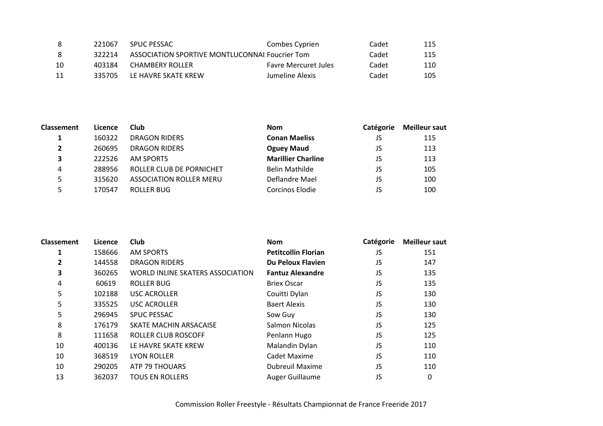| -8 | 221067 | <b>SPUC PESSAC</b>                             | Combes Cyprien              | Cadet | 115 |
|----|--------|------------------------------------------------|-----------------------------|-------|-----|
| -8 | 322214 | ASSOCIATION SPORTIVE MONTLUCONNAL Foucrier Tom |                             | Cadet | 115 |
| 10 | 403184 | CHAMBERY ROLLER                                | <b>Favre Mercuret Jules</b> | Cadet | 110 |
| 11 | 335705 | LE HAVRE SKATE KREW                            | Jumeline Alexis             | Cadet | 105 |

| Classement     | Licence | Club                           | <b>Nom</b>                | <b>Catégorie</b> | <b>Meilleur saut</b> |
|----------------|---------|--------------------------------|---------------------------|------------------|----------------------|
|                | 160322  | <b>DRAGON RIDERS</b>           | <b>Conan Maeliss</b>      | JS               | 115                  |
| $\overline{2}$ | 260695  | <b>DRAGON RIDERS</b>           | <b>Oguey Maud</b>         | JS               | 113                  |
| 3              | 222526  | AM SPORTS                      | <b>Marillier Charline</b> | JS               | 113                  |
| 4              | 288956  | ROLLER CLUB DE PORNICHET       | <b>Belin Mathilde</b>     | JS               | 105                  |
| 5.             | 315620  | <b>ASSOCIATION ROLLER MERU</b> | Deflandre Mael            | JS               | 100                  |
|                | 170547  | ROLLER BUG                     | Corcinos Elodie           | JS               | 100                  |

| <b>Classement</b> | Licence | Club                                    | <b>Nom</b>                 | Catégorie | <b>Meilleur saut</b> |
|-------------------|---------|-----------------------------------------|----------------------------|-----------|----------------------|
| 1                 | 158666  | <b>AM SPORTS</b>                        | <b>Petitcollin Florian</b> | JS        | 151                  |
| 2                 | 144558  | <b>DRAGON RIDERS</b>                    | Du Peloux Flavien          | JS        | 147                  |
| 3                 | 360265  | <b>WORLD INLINE SKATERS ASSOCIATION</b> | <b>Fantuz Alexandre</b>    | JS        | 135                  |
| 4                 | 60619   | <b>ROLLER BUG</b>                       | <b>Briex Oscar</b>         | JS        | 135                  |
| 5                 | 102188  | <b>USC ACROLLER</b>                     | Couitti Dylan              | JS        | 130                  |
| 5                 | 335525  | <b>USC ACROLLER</b>                     | <b>Baert Alexis</b>        | JS        | 130                  |
| 5                 | 296945  | <b>SPUC PESSAC</b>                      | Sow Guy                    | JS        | 130                  |
| 8                 | 176179  | SKATE MACHIN ARSACAISE                  | Salmon Nicolas             | JS        | 125                  |
| 8                 | 111658  | <b>ROLLER CLUB ROSCOFF</b>              | Penlann Hugo               | JS        | 125                  |
| 10                | 400136  | LE HAVRE SKATE KREW                     | Malandin Dylan             | JS        | 110                  |
| 10                | 368519  | <b>LYON ROLLER</b>                      | Cadet Maxime               | JS        | 110                  |
| 10                | 290205  | ATP 79 THOUARS                          | <b>Dubreuil Maxime</b>     | JS        | 110                  |
| 13                | 362037  | <b>TOUS EN ROLLERS</b>                  | Auger Guillaume            | JS        | 0                    |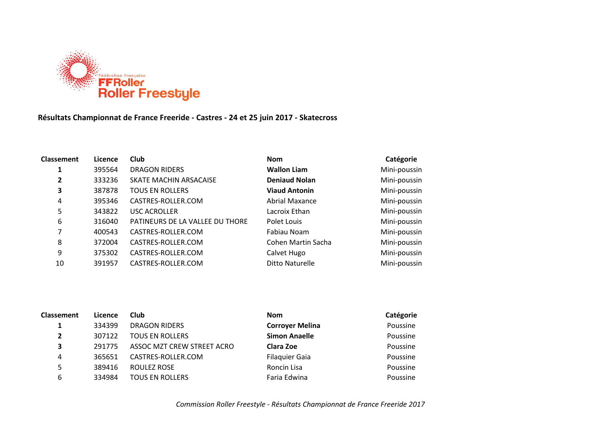

## **Résultats Championnat de France Freeride - Castres - 24 et 25 juin 2017 - Skatecross**

| <b>Classement</b> | Licence | <b>Club</b>                     | <b>Nom</b>           | Catégorie    |
|-------------------|---------|---------------------------------|----------------------|--------------|
| 1                 | 395564  | <b>DRAGON RIDERS</b>            | <b>Wallon Liam</b>   | Mini-poussin |
| 2                 | 333236  | SKATE MACHIN ARSACAISE          | <b>Deniaud Nolan</b> | Mini-poussin |
| 3                 | 387878  | <b>TOUS EN ROLLERS</b>          | <b>Viaud Antonin</b> | Mini-poussin |
| 4                 | 395346  | CASTRES-ROLLER.COM              | Abrial Maxance       | Mini-poussin |
| 5                 | 343822  | <b>USC ACROLLER</b>             | Lacroix Ethan        | Mini-poussin |
| 6                 | 316040  | PATINEURS DE LA VALLEE DU THORE | Polet Louis          | Mini-poussin |
| 7                 | 400543  | CASTRES-ROLLER.COM              | Fabiau Noam          | Mini-poussin |
| 8                 | 372004  | CASTRES-ROLLER.COM              | Cohen Martin Sacha   | Mini-poussin |
| 9                 | 375302  | CASTRES-ROLLER.COM              | Calvet Hugo          | Mini-poussin |
| 10                | 391957  | CASTRES-ROLLER.COM              | Ditto Naturelle      | Mini-poussin |
|                   |         |                                 |                      |              |

| <b>Classement</b>       | Licence | <b>Club</b>                | <b>Nom</b>             | Catégorie |
|-------------------------|---------|----------------------------|------------------------|-----------|
|                         | 334399  | <b>DRAGON RIDERS</b>       | <b>Corroyer Melina</b> | Poussine  |
| $\overline{2}$          | 307122  | <b>TOUS EN ROLLERS</b>     | <b>Simon Anaelle</b>   | Poussine  |
| $\overline{\mathbf{3}}$ | 291775  | ASSOC MZT CREW STREET ACRO | Clara Zoe              | Poussine  |
| 4                       | 365651  | CASTRES-ROLLER.COM         | <b>Filaquier Gaia</b>  | Poussine  |
| 5                       | 389416  | ROULEZ ROSE                | Roncin Lisa            | Poussine  |
| 6                       | 334984  | <b>TOUS EN ROLLERS</b>     | Faria Edwina           | Poussine  |
|                         |         |                            |                        |           |

*Commission Roller Freestyle - Résultats Championnat de France Freeride 2017*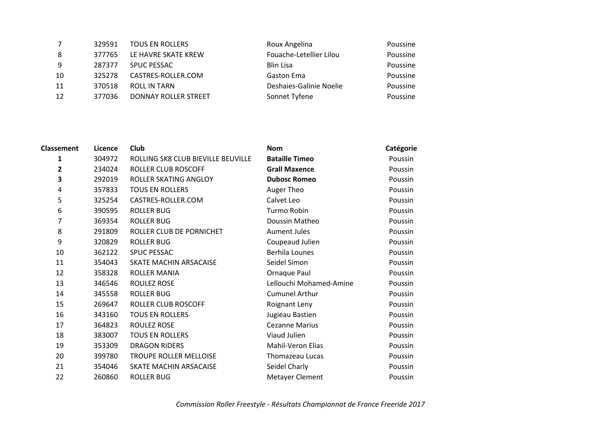| 7  | 329591 | <b>TOUS EN ROLLERS</b>      | Roux Angelina           | Poussine |
|----|--------|-----------------------------|-------------------------|----------|
| 8  | 377765 | LE HAVRE SKATE KREW         | Fouache-Letellier Lilou | Poussine |
| 9  | 287377 | SPUC PESSAC                 | <b>Blin Lisa</b>        | Poussine |
| 10 | 325278 | CASTRES-ROLLER.COM          | <b>Gaston Ema</b>       | Poussine |
| 11 | 370518 | <b>ROLL IN TARN</b>         | Deshaies-Galinie Noelie | Poussine |
| 12 | 377036 | <b>DONNAY ROLLER STREET</b> | Sonnet Tyfene           | Poussine |

| <b>Classement</b> | Licence | Club                               | <b>Nom</b>              | Catégorie |
|-------------------|---------|------------------------------------|-------------------------|-----------|
| 1                 | 304972  | ROLLING SK8 CLUB BIEVILLE BEUVILLE | <b>Bataille Timeo</b>   | Poussin   |
| $\overline{2}$    | 234024  | <b>ROLLER CLUB ROSCOFF</b>         | <b>Grall Maxence</b>    | Poussin   |
| 3                 | 292019  | ROLLER SKATING ANGLOY              | <b>Dubosc Romeo</b>     | Poussin   |
| 4                 | 357833  | <b>TOUS EN ROLLERS</b>             | Auger Theo              | Poussin   |
| 5                 | 325254  | CASTRES-ROLLER.COM                 | Calvet Leo              | Poussin   |
| 6                 | 390595  | <b>ROLLER BUG</b>                  | Turmo Robin             | Poussin   |
| 7                 | 369354  | <b>ROLLER BUG</b>                  | Doussin Matheo          | Poussin   |
| 8                 | 291809  | ROLLER CLUB DE PORNICHET           | <b>Aument Jules</b>     | Poussin   |
| 9                 | 320829  | <b>ROLLER BUG</b>                  | Coupeaud Julien         | Poussin   |
| 10                | 362122  | <b>SPUC PESSAC</b>                 | <b>Berhila Lounes</b>   | Poussin   |
| 11                | 354043  | <b>SKATE MACHIN ARSACAISE</b>      | Seidel Simon            | Poussin   |
| 12                | 358328  | ROLLER MANIA                       | Ornaque Paul            | Poussin   |
| 13                | 346546  | ROULEZ ROSE                        | Lellouchi Mohamed-Amine | Poussin   |
| 14                | 345558  | <b>ROLLER BUG</b>                  | <b>Cumunel Arthur</b>   | Poussin   |
| 15                | 269647  | ROLLER CLUB ROSCOFF                | Roignant Leny           | Poussin   |
| 16                | 343160  | <b>TOUS EN ROLLERS</b>             | Jugieau Bastien         | Poussin   |
| 17                | 364823  | ROULEZ ROSE                        | <b>Cezanne Marius</b>   | Poussin   |
| 18                | 383007  | <b>TOUS EN ROLLERS</b>             | Viaud Julien            | Poussin   |
| 19                | 353309  | <b>DRAGON RIDERS</b>               | Mahil-Veron Elias       | Poussin   |
| 20                | 399780  | TROUPE ROLLER MELLOISE             | Thomazeau Lucas         | Poussin   |
| 21                | 354046  | SKATE MACHIN ARSACAISE             | Seidel Charly           | Poussin   |
| 22                | 260860  | <b>ROLLER BUG</b>                  | <b>Metayer Clement</b>  | Poussin   |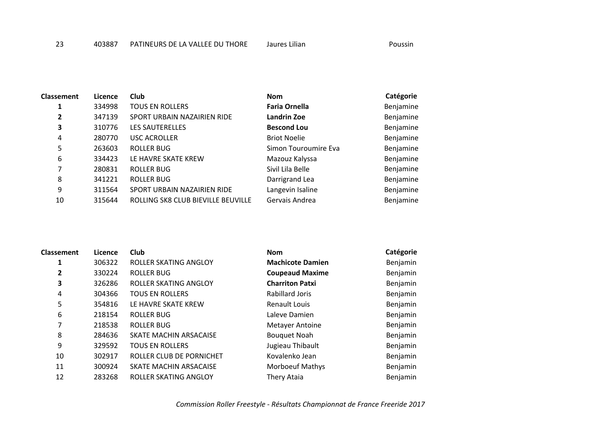| <b>Classement</b> | Licence | Club                               | <b>Nom</b>           | Catégorie |
|-------------------|---------|------------------------------------|----------------------|-----------|
| 1                 | 334998  | <b>TOUS EN ROLLERS</b>             | <b>Faria Ornella</b> | Benjamine |
| $\overline{2}$    | 347139  | SPORT URBAIN NAZAIRIEN RIDE        | Landrin Zoe          | Benjamine |
| 3                 | 310776  | <b>LES SAUTERELLES</b>             | <b>Bescond Lou</b>   | Benjamine |
| 4                 | 280770  | <b>USC ACROLLER</b>                | <b>Briot Noelie</b>  | Benjamine |
| 5                 | 263603  | <b>ROLLER BUG</b>                  | Simon Touroumire Eva | Benjamine |
| 6                 | 334423  | LE HAVRE SKATE KREW                | Mazouz Kalyssa       | Benjamine |
| 7                 | 280831  | <b>ROLLER BUG</b>                  | Sivil Lila Belle     | Benjamine |
| 8                 | 341221  | ROLLER BUG                         | Darrigrand Lea       | Benjamine |
| 9                 | 311564  | SPORT URBAIN NAZAIRIEN RIDE        | Langevin Isaline     | Benjamine |
| 10                | 315644  | ROLLING SK8 CLUB BIEVILLE BEUVILLE | Gervais Andrea       | Benjamine |

| <b>Classement</b> | Licence | <b>Club</b>                  | <b>Nom</b>              | Catégorie |
|-------------------|---------|------------------------------|-------------------------|-----------|
| 1                 | 306322  | ROLLER SKATING ANGLOY        | <b>Machicote Damien</b> | Benjamin  |
| $\overline{2}$    | 330224  | ROLLER BUG                   | <b>Coupeaud Maxime</b>  | Benjamin  |
| 3                 | 326286  | ROLLER SKATING ANGLOY        | <b>Charriton Patxi</b>  | Benjamin  |
| 4                 | 304366  | <b>TOUS EN ROLLERS</b>       | <b>Rabillard Joris</b>  | Benjamin  |
| 5                 | 354816  | LE HAVRE SKATE KREW          | Renault Louis           | Benjamin  |
| 6                 | 218154  | ROLLER BUG                   | Laleve Damien           | Benjamin  |
| 7                 | 218538  | ROLLER BUG                   | <b>Metayer Antoine</b>  | Benjamin  |
| 8                 | 284636  | SKATE MACHIN ARSACAISE       | <b>Bouquet Noah</b>     | Benjamin  |
| 9                 | 329592  | <b>TOUS EN ROLLERS</b>       | Jugieau Thibault        | Benjamin  |
| 10                | 302917  | ROLLER CLUB DE PORNICHET     | Kovalenko Jean          | Benjamin  |
| 11                | 300924  | SKATE MACHIN ARSACAISE       | <b>Morboeuf Mathys</b>  | Benjamin  |
| 12                | 283268  | <b>ROLLER SKATING ANGLOY</b> | Thery Ataia             | Benjamin  |

*Commission Roller Freestyle - Résultats Championnat de France Freeride 2017*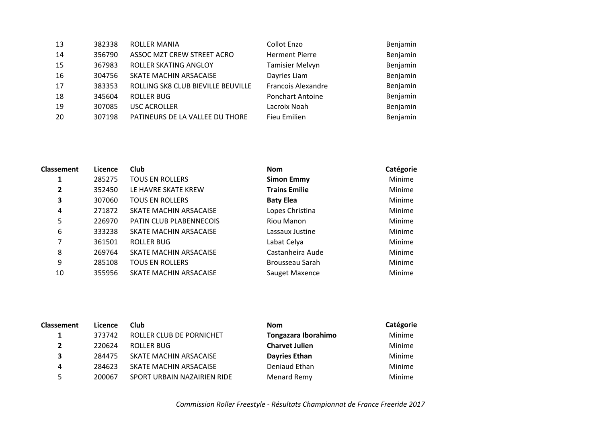| 13 | 382338 | <b>ROLLER MANIA</b>                | Collot Enzo               | Benjamin |
|----|--------|------------------------------------|---------------------------|----------|
| 14 | 356790 | ASSOC MZT CREW STREET ACRO         | <b>Herment Pierre</b>     | Benjamin |
| 15 | 367983 | <b>ROLLER SKATING ANGLOY</b>       | <b>Tamisier Melvyn</b>    | Benjamin |
| 16 | 304756 | SKATE MACHIN ARSACAISE             | Dayries Liam              | Benjamin |
| 17 | 383353 | ROLLING SK8 CLUB BIEVILLE BEUVILLE | <b>Francois Alexandre</b> | Benjamin |
| 18 | 345604 | <b>ROLLER BUG</b>                  | <b>Ponchart Antoine</b>   | Benjamin |
| 19 | 307085 | <b>USC ACROLLER</b>                | Lacroix Noah              | Benjamin |
| 20 | 307198 | PATINEURS DE LA VALLEE DU THORE    | Fieu Emilien              | Benjamin |
|    |        |                                    |                           |          |

| Classement | Licence | Club                    | <b>Nom</b>           | Catégorie     |
|------------|---------|-------------------------|----------------------|---------------|
| 1          | 285275  | <b>TOUS EN ROLLERS</b>  | <b>Simon Emmy</b>    | Minime        |
| 2          | 352450  | LE HAVRE SKATE KREW     | <b>Trains Emilie</b> | Minime        |
| 3          | 307060  | <b>TOUS EN ROLLERS</b>  | <b>Baty Elea</b>     | Minime        |
| 4          | 271872  | SKATE MACHIN ARSACAISE  | Lopes Christina      | Minime        |
| 5          | 226970  | PATIN CLUB PLABENNECOIS | Riou Manon           | Minime        |
| 6          | 333238  | SKATE MACHIN ARSACAISE  | Lassaux Justine      | Minime        |
| 7          | 361501  | ROLLER BUG              | Labat Celya          | Minime        |
| 8          | 269764  | SKATE MACHIN ARSACAISE  | Castanheira Aude     | Minime        |
| 9          | 285108  | <b>TOUS EN ROLLERS</b>  | Brousseau Sarah      | Minime        |
| 10         | 355956  | SKATE MACHIN ARSACAISE  | Sauget Maxence       | <b>Minime</b> |

| <b>Classement</b> | Licence | <b>Club</b>                 | <b>Nom</b>            | Catégorie |
|-------------------|---------|-----------------------------|-----------------------|-----------|
|                   | 373742  | ROLLER CLUB DE PORNICHET    | Tongazara Iborahimo   | Minime    |
| $\mathbf{2}$      | 220624  | ROLLER BUG                  | <b>Charvet Julien</b> | Minime    |
| 3                 | 284475  | SKATE MACHIN ARSACAISE      | <b>Dayries Ethan</b>  | Minime    |
| 4                 | 284623  | SKATE MACHIN ARSACAISE      | Deniaud Ethan         | Minime    |
| 5.                | 200067  | SPORT URBAIN NAZAIRIEN RIDE | Menard Remy           | Minime    |

*Commission Roller Freestyle - Résultats Championnat de France Freeride 2017*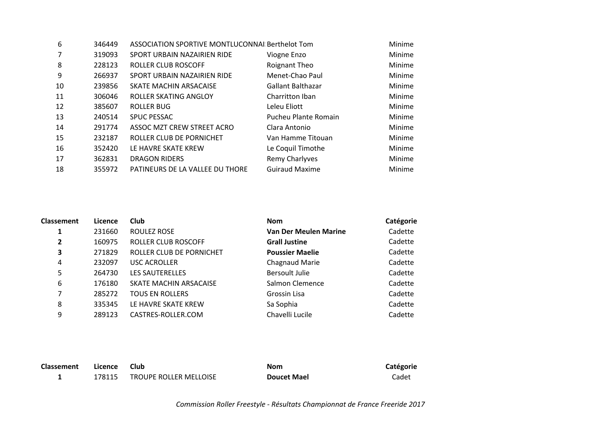| 6  | 346449 | ASSOCIATION SPORTIVE MONTLUCONNAl Berthelot Tom |                          | Minime |
|----|--------|-------------------------------------------------|--------------------------|--------|
|    | 319093 | SPORT URBAIN NAZAIRIEN RIDE                     | Viogne Enzo              | Minime |
| 8  | 228123 | ROLLER CLUB ROSCOFF                             | Roignant Theo            | Minime |
| 9  | 266937 | SPORT URBAIN NAZAIRIEN RIDE                     | Menet-Chao Paul          | Minime |
| 10 | 239856 | SKATE MACHIN ARSACAISE                          | <b>Gallant Balthazar</b> | Minime |
| 11 | 306046 | ROLLER SKATING ANGLOY                           | Charritton Iban          | Minime |
| 12 | 385607 | <b>ROLLER BUG</b>                               | Leleu Eliott             | Minime |
| 13 | 240514 | <b>SPUC PESSAC</b>                              | Pucheu Plante Romain     | Minime |
| 14 | 291774 | ASSOC MZT CREW STREET ACRO                      | Clara Antonio            | Minime |
| 15 | 232187 | ROLLER CLUB DE PORNICHET                        | Van Hamme Titouan        | Minime |
| 16 | 352420 | LE HAVRE SKATE KREW                             | Le Coquil Timothe        | Minime |
| 17 | 362831 | <b>DRAGON RIDERS</b>                            | Remy Charlyves           | Minime |
| 18 | 355972 | PATINEURS DE LA VALLEE DU THORE                 | <b>Guiraud Maxime</b>    | Minime |
|    |        |                                                 |                          |        |

| <b>Classement</b> | Licence | <b>Club</b>              | <b>Nom</b>                   | Catégorie |
|-------------------|---------|--------------------------|------------------------------|-----------|
|                   | 231660  | ROULEZ ROSE              | <b>Van Der Meulen Marine</b> | Cadette   |
| 2                 | 160975  | ROLLER CLUB ROSCOFF      | <b>Grall Justine</b>         | Cadette   |
| 3                 | 271829  | ROLLER CLUB DE PORNICHET | <b>Poussier Maelie</b>       | Cadette   |
| 4                 | 232097  | <b>USC ACROLLER</b>      | Chagnaud Marie               | Cadette   |
| 5                 | 264730  | <b>LES SAUTERELLES</b>   | <b>Bersoult Julie</b>        | Cadette   |
| 6                 | 176180  | SKATE MACHIN ARSACAISE   | Salmon Clemence              | Cadette   |
| 7                 | 285272  | <b>TOUS EN ROLLERS</b>   | Grossin Lisa                 | Cadette   |
| 8                 | 335345  | LE HAVRE SKATE KREW      | Sa Sophia                    | Cadette   |
| 9                 | 289123  | CASTRES-ROLLER.COM       | Chavelli Lucile              | Cadette   |

| Classement | Licence | <b>Club</b>            | <b>Nom</b>         | Catégorie |
|------------|---------|------------------------|--------------------|-----------|
|            | 178115  | TROUPE ROLLER MELLOISE | <b>Doucet Mael</b> | Cadet     |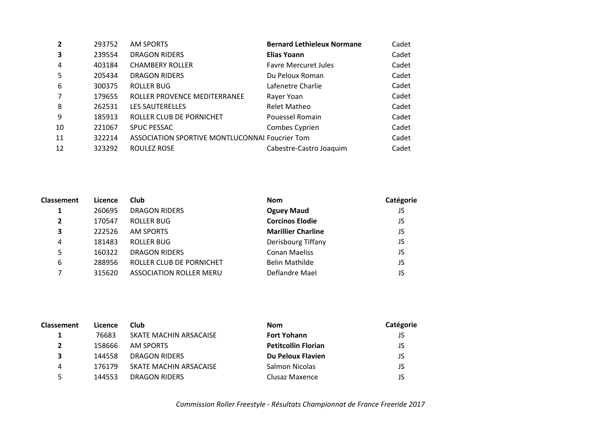| $\overline{2}$ | 293752 | AM SPORTS                                      | <b>Bernard Lethieleux Normane</b> | Cadet |
|----------------|--------|------------------------------------------------|-----------------------------------|-------|
| 3              | 239554 | <b>DRAGON RIDERS</b>                           | <b>Elias Yoann</b>                | Cadet |
| $\overline{4}$ | 403184 | <b>CHAMBERY ROLLER</b>                         | <b>Favre Mercuret Jules</b>       | Cadet |
| -5             | 205434 | <b>DRAGON RIDERS</b>                           | Du Peloux Roman                   | Cadet |
| 6              | 300375 | <b>ROLLER BUG</b>                              | Lafenetre Charlie                 | Cadet |
| $\overline{7}$ | 179655 | ROLLER PROVENCE MEDITERRANEE                   | Rayer Yoan                        | Cadet |
| 8              | 262531 | <b>LES SAUTERELLES</b>                         | <b>Relet Matheo</b>               | Cadet |
| q              | 185913 | ROLLER CLUB DE PORNICHET                       | Pouessel Romain                   | Cadet |
| 10             | 221067 | <b>SPUC PESSAC</b>                             | Combes Cyprien                    | Cadet |
| 11             | 322214 | ASSOCIATION SPORTIVE MONTLUCONNAl Foucrier Tom |                                   | Cadet |
| 12             | 323292 | ROULEZ ROSE                                    | Cabestre-Castro Joaquim           | Cadet |

| Classement     | Licence | Club                           | <b>Nom</b>                | Catégorie |
|----------------|---------|--------------------------------|---------------------------|-----------|
|                | 260695  | <b>DRAGON RIDERS</b>           | <b>Oguey Maud</b>         | JS        |
| $\overline{2}$ | 170547  | <b>ROLLER BUG</b>              | <b>Corcinos Elodie</b>    | JS        |
| 3              | 222526  | <b>AM SPORTS</b>               | <b>Marillier Charline</b> | JS        |
| 4              | 181483  | ROLLER BUG                     | Derisbourg Tiffany        | JS        |
| 5              | 160322  | <b>DRAGON RIDERS</b>           | <b>Conan Maeliss</b>      | JS        |
| 6              | 288956  | ROLLER CLUB DE PORNICHET       | <b>Belin Mathilde</b>     | JS        |
|                | 315620  | <b>ASSOCIATION ROLLER MERU</b> | Deflandre Mael            | JS        |

| <b>Classement</b> | Licence | <b>Club</b>            | <b>Nom</b>                 | Catégorie |
|-------------------|---------|------------------------|----------------------------|-----------|
|                   | 76683   | SKATE MACHIN ARSACAISE | <b>Fort Yohann</b>         | JS        |
|                   | 158666  | AM SPORTS              | <b>Petitcollin Florian</b> | JS        |
|                   | 144558  | DRAGON RIDERS          | Du Peloux Flavien          | JS        |
| 4                 | 176179  | SKATE MACHIN ARSACAISE | Salmon Nicolas             | JS        |
|                   | 144553  | DRAGON RIDERS          | Clusaz Maxence             | JS        |